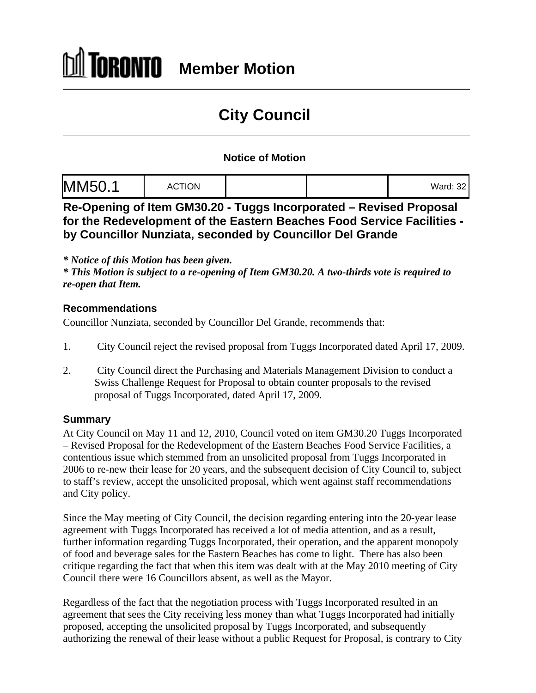## ÍORONTO **Member Motion**

# **City Council**

### **Notice of Motion**

| $M_{\text{total}}$ $\alpha$ |  |
|-----------------------------|--|
|-----------------------------|--|

**Re-Opening of Item GM30.20 - Tuggs Incorporated – Revised Proposal for the Redevelopment of the Eastern Beaches Food Service Facilities by Councillor Nunziata, seconded by Councillor Del Grande**

*\* Notice of this Motion has been given.*

*\* This Motion is subject to a re-opening of Item GM30.20. A two-thirds vote is required to re-open that Item.* 

#### **Recommendations**

Councillor Nunziata, seconded by Councillor Del Grande, recommends that:

- 1. City Council reject the revised proposal from Tuggs Incorporated dated April 17, 2009.
- 2. City Council direct the Purchasing and Materials Management Division to conduct a Swiss Challenge Request for Proposal to obtain counter proposals to the revised proposal of Tuggs Incorporated, dated April 17, 2009.

#### **Summary**

At City Council on May 11 and 12, 2010, Council voted on item GM30.20 Tuggs Incorporated – Revised Proposal for the Redevelopment of the Eastern Beaches Food Service Facilities, a contentious issue which stemmed from an unsolicited proposal from Tuggs Incorporated in 2006 to re-new their lease for 20 years, and the subsequent decision of City Council to, subject to staff's review, accept the unsolicited proposal, which went against staff recommendations and City policy.

Since the May meeting of City Council, the decision regarding entering into the 20-year lease agreement with Tuggs Incorporated has received a lot of media attention, and as a result, further information regarding Tuggs Incorporated, their operation, and the apparent monopoly of food and beverage sales for the Eastern Beaches has come to light. There has also been critique regarding the fact that when this item was dealt with at the May 2010 meeting of City Council there were 16 Councillors absent, as well as the Mayor.

Regardless of the fact that the negotiation process with Tuggs Incorporated resulted in an agreement that sees the City receiving less money than what Tuggs Incorporated had initially proposed, accepting the unsolicited proposal by Tuggs Incorporated, and subsequently authorizing the renewal of their lease without a public Request for Proposal, is contrary to City